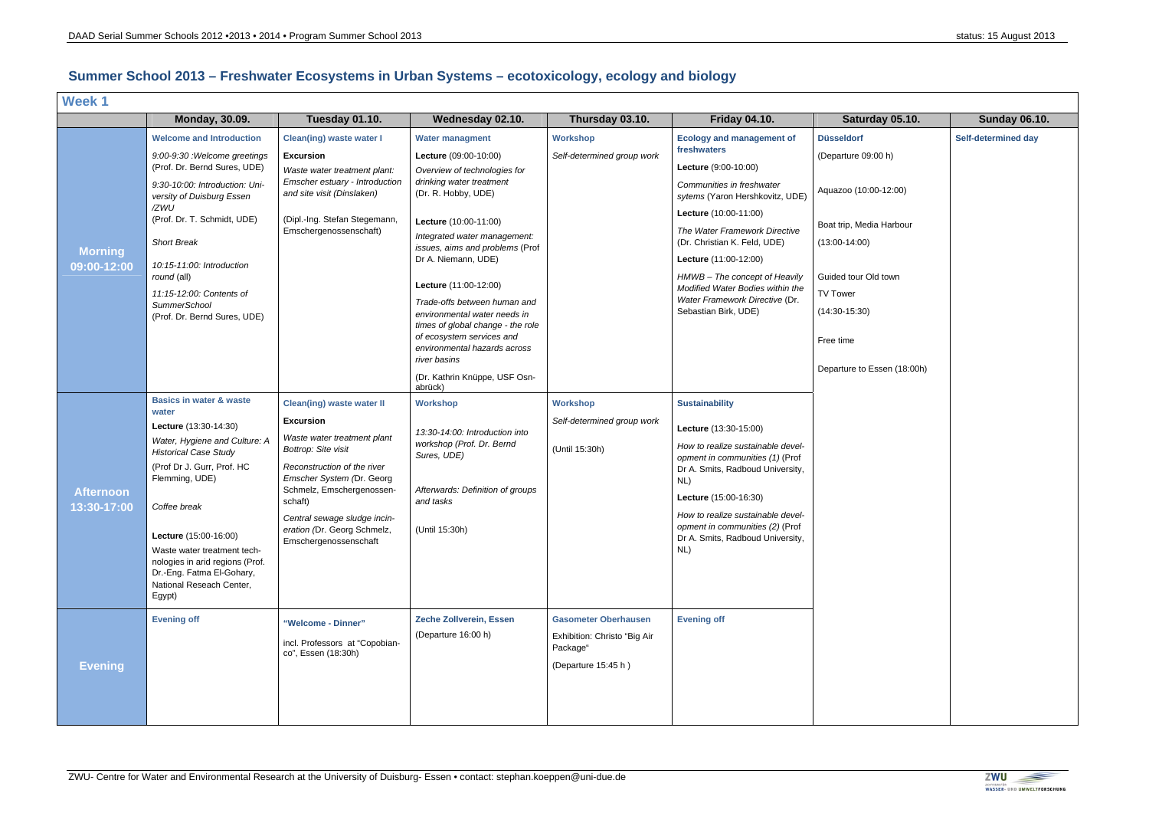

## **Summer School 2013 – Freshwater Ecosystems in Urban Systems – ecotoxicology, ecology and biology**

| <b>Week1</b>                    |                                                                                                                                                                                                                                                                                                                                                                     |                                                                                                                                                                                                                                                                                                        |                                                                                                                                                                                                                                                                                                                                                                                                                                                                                                              |                                                                                                |                                                                                                                                                                                                                                                                                                                                                                                           |                                                                                                                                                                                                                     |                      |  |  |  |
|---------------------------------|---------------------------------------------------------------------------------------------------------------------------------------------------------------------------------------------------------------------------------------------------------------------------------------------------------------------------------------------------------------------|--------------------------------------------------------------------------------------------------------------------------------------------------------------------------------------------------------------------------------------------------------------------------------------------------------|--------------------------------------------------------------------------------------------------------------------------------------------------------------------------------------------------------------------------------------------------------------------------------------------------------------------------------------------------------------------------------------------------------------------------------------------------------------------------------------------------------------|------------------------------------------------------------------------------------------------|-------------------------------------------------------------------------------------------------------------------------------------------------------------------------------------------------------------------------------------------------------------------------------------------------------------------------------------------------------------------------------------------|---------------------------------------------------------------------------------------------------------------------------------------------------------------------------------------------------------------------|----------------------|--|--|--|
|                                 | <b>Monday, 30.09.</b>                                                                                                                                                                                                                                                                                                                                               | Tuesday 01.10.                                                                                                                                                                                                                                                                                         | Wednesday 02.10.                                                                                                                                                                                                                                                                                                                                                                                                                                                                                             | Thursday 03.10.                                                                                | <b>Friday 04.10.</b>                                                                                                                                                                                                                                                                                                                                                                      | Saturday 05.10.                                                                                                                                                                                                     | <b>Sunday 06.10.</b> |  |  |  |
| <b>Morning</b><br>09:00-12:00   | <b>Welcome and Introduction</b><br>9:00-9:30 : Welcome greetings<br>(Prof. Dr. Bernd Sures, UDE)<br>9:30-10:00: Introduction: Uni-<br>versity of Duisburg Essen<br>/ZWU<br>(Prof. Dr. T. Schmidt, UDE)<br><b>Short Break</b><br>10:15-11:00: Introduction<br>round (all)<br>11:15-12:00: Contents of<br><b>SummerSchool</b><br>(Prof. Dr. Bernd Sures, UDE)         | <b>Clean(ing) waste water I</b><br><b>Excursion</b><br>Waste water treatment plant:<br>Emscher estuary - Introduction<br>and site visit (Dinslaken)<br>(Dipl.-Ing. Stefan Stegemann,<br>Emschergenossenschaft)                                                                                         | <b>Water managment</b><br>Lecture (09:00-10:00)<br>Overview of technologies for<br>drinking water treatment<br>(Dr. R. Hobby, UDE)<br>Lecture (10:00-11:00)<br>Integrated water management:<br>issues, aims and problems (Prof<br>Dr A. Niemann, UDE)<br>Lecture (11:00-12:00)<br>Trade-offs between human and<br>environmental water needs in<br>times of global change - the role<br>of ecosystem services and<br>environmental hazards across<br>river basins<br>(Dr. Kathrin Knüppe, USF Osn-<br>abrück) | <b>Workshop</b><br>Self-determined group work                                                  | <b>Ecology and management of</b><br>freshwaters<br>Lecture (9:00-10:00)<br>Communities in freshwater<br>sytems (Yaron Hershkovitz, UDE)<br>Lecture (10:00-11:00)<br>The Water Framework Directive<br>(Dr. Christian K. Feld, UDE)<br>Lecture (11:00-12:00)<br>HMWB - The concept of Heavily<br>Modified Water Bodies within the<br>Water Framework Directive (Dr.<br>Sebastian Birk, UDE) | <b>Düsseldorf</b><br>(Departure 09:00 h)<br>Aquazoo (10:00-12:00)<br>Boat trip, Media Harbour<br>$(13:00-14:00)$<br>Guided tour Old town<br>TV Tower<br>$(14:30-15:30)$<br>Free time<br>Departure to Essen (18:00h) | Self-determined day  |  |  |  |
| <b>Afternoon</b><br>13:30-17:00 | <b>Basics in water &amp; waste</b><br>water<br>Lecture (13:30-14:30)<br>Water, Hygiene and Culture: A<br><b>Historical Case Study</b><br>(Prof Dr J. Gurr, Prof. HC<br>Flemming, UDE)<br>Coffee break<br>Lecture (15:00-16:00)<br>Waste water treatment tech-<br>nologies in arid regions (Prof.<br>Dr.-Eng. Fatma El-Gohary,<br>National Reseach Center,<br>Egypt) | <b>Clean(ing) waste water II</b><br><b>Excursion</b><br>Waste water treatment plant<br>Bottrop: Site visit<br>Reconstruction of the river<br>Emscher System (Dr. Georg<br>Schmelz, Emschergenossen-<br>schaft)<br>Central sewage sludge incin-<br>eration (Dr. Georg Schmelz,<br>Emschergenossenschaft | <b>Workshop</b><br>13:30-14:00: Introduction into<br>workshop (Prof. Dr. Bernd<br>Sures, UDE)<br>Afterwards: Definition of groups<br>and tasks<br>(Until 15:30h)                                                                                                                                                                                                                                                                                                                                             | <b>Workshop</b><br>Self-determined group work<br>(Until 15:30h)                                | <b>Sustainability</b><br>Lecture (13:30-15:00)<br>How to realize sustainable devel-<br>opment in communities (1) (Prof<br>Dr A. Smits, Radboud University,<br>NL)<br>Lecture (15:00-16:30)<br>How to realize sustainable devel-<br>opment in communities (2) (Prof<br>Dr A. Smits, Radboud University,<br>NL)                                                                             |                                                                                                                                                                                                                     |                      |  |  |  |
| <b>Evening</b>                  | <b>Evening off</b>                                                                                                                                                                                                                                                                                                                                                  | "Welcome - Dinner"<br>incl. Professors at "Copobian-<br>co", Essen (18:30h)                                                                                                                                                                                                                            | Zeche Zollverein, Essen<br>(Departure 16:00 h)                                                                                                                                                                                                                                                                                                                                                                                                                                                               | <b>Gasometer Oberhausen</b><br>Exhibition: Christo "Big Air<br>Package"<br>(Departure 15:45 h) | <b>Evening off</b>                                                                                                                                                                                                                                                                                                                                                                        |                                                                                                                                                                                                                     |                      |  |  |  |